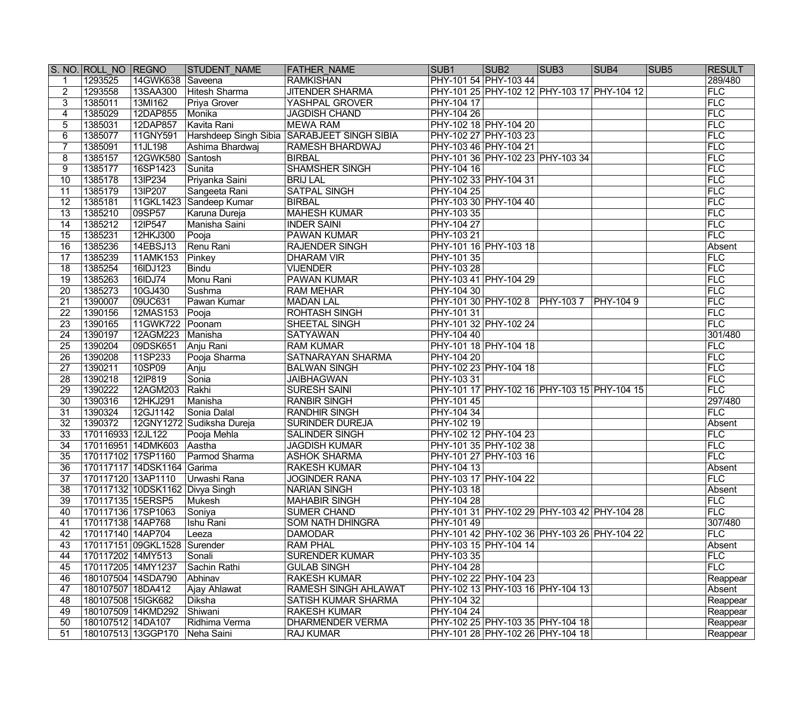|                 | S. NO. ROLL NO REGNO |                                 | <b>STUDENT NAME</b>       | <b>FATHER NAME</b>                          | SUB <sub>1</sub>  | SUB <sub>2</sub>                            | SUB <sub>3</sub> | SUB <sub>4</sub> | SUB <sub>5</sub> | <b>RESULT</b> |
|-----------------|----------------------|---------------------------------|---------------------------|---------------------------------------------|-------------------|---------------------------------------------|------------------|------------------|------------------|---------------|
| 1               | 1293525              | 14GWK638                        | Saveena                   | <b>RAMKISHAN</b>                            |                   | PHY-101 54 PHY-103 44                       |                  |                  |                  | 289/480       |
| $\overline{2}$  | 1293558              | 13SAA300                        | <b>Hitesh Sharma</b>      | <b>JITENDER SHARMA</b>                      |                   | PHY-101 25 PHY-102 12 PHY-103 17 PHY-104 12 |                  |                  |                  | FLC           |
| 3               | 1385011              | 13MI162                         | Priya Grover              | YASHPAL GROVER                              | PHY-104 17        |                                             |                  |                  |                  | FLC           |
| 4               | 1385029              | 12DAP855                        | Monika                    | <b>JAGDISH CHAND</b>                        | <b>PHY-104 26</b> |                                             |                  |                  |                  | FLC           |
| $5\overline{)}$ | 1385031              | 12DAP857                        | Kavita Rani               | <b>MEWA RAM</b>                             |                   | PHY-102 18 PHY-104 20                       |                  |                  |                  | FLC           |
| 6               | 1385077              | 11GNY591                        |                           | Harshdeep Singh Sibia SARABJEET SINGH SIBIA |                   | PHY-102 27 PHY-103 23                       |                  |                  |                  | FLC           |
| $\overline{7}$  | 1385091              | 11JL198                         | Ashima Bhardwaj           | RAMESH BHARDWAJ                             |                   | PHY-103 46 PHY-104 21                       |                  |                  |                  | FLC           |
| 8               | 1385157              | 12GWK580                        | Santosh                   | <b>BIRBAL</b>                               |                   | PHY-101 36 PHY-102 23 PHY-103 34            |                  |                  |                  | FLC           |
| 9               | 1385177              | 16SP1423                        | Sunita                    | <b>SHAMSHER SINGH</b>                       | PHY-104 16        |                                             |                  |                  |                  | FLC           |
| $\overline{10}$ | 1385178              | 13IP234                         | Priyanka Saini            | <b>BRIJ LAL</b>                             |                   | PHY-102 33 PHY-104 31                       |                  |                  |                  | FLC           |
| $\overline{11}$ | 1385179              | 13IP207                         | Sangeeta Rani             | <b>SATPAL SINGH</b>                         | PHY-104 25        |                                             |                  |                  |                  | FLC           |
| $\overline{12}$ | 1385181              | 11GKL1423                       | Sandeep Kumar             | <b>BIRBAL</b>                               |                   | PHY-103 30 PHY-104 40                       |                  |                  |                  | FLC           |
| $\overline{13}$ | 1385210              | 09SP57                          | Karuna Dureja             | <b>MAHESH KUMAR</b>                         | PHY-103 35        |                                             |                  |                  |                  | FLC           |
| 14              | 1385212              | 12IP547                         | Manisha Saini             | <b>INDER SAINI</b>                          | PHY-104 27        |                                             |                  |                  |                  | FLC           |
| $\overline{15}$ | 1385231              | 12HKJ300                        | Pooja                     | <b>PAWAN KUMAR</b>                          | PHY-103 21        |                                             |                  |                  |                  | FLC           |
| $\overline{16}$ | 1385236              | 14EBSJ13                        | Renu Rani                 | <b>RAJENDER SINGH</b>                       |                   | PHY-101 16 PHY-103 18                       |                  |                  |                  | Absent        |
| $\overline{17}$ | 1385239              | 11AMK153                        | Pinkey                    | <b>DHARAM VIR</b>                           | PHY-101 35        |                                             |                  |                  |                  | FLC           |
| $\overline{18}$ | 1385254              | 16IDJ123                        | <b>Bindu</b>              | <b>VIJENDER</b>                             | <b>PHY-103 28</b> |                                             |                  |                  |                  | FLC           |
| $\overline{19}$ | 1385263              | 16IDJ74                         | Monu Rani                 | PAWAN KUMAR                                 |                   | PHY-103 41 PHY-104 29                       |                  |                  |                  | FLC           |
| $\overline{20}$ | 1385273              | 10GJ430                         | Sushma                    | <b>RAM MEHAR</b>                            | PHY-104 30        |                                             |                  |                  |                  | FLC           |
| 21              | 1390007              | 09UC631                         | Pawan Kumar               | <b>MADAN LAL</b>                            |                   | PHY-101 30 PHY-102 8 PHY-103 7              |                  | <b>FHY-1049</b>  |                  | FLC           |
| $\overline{22}$ | 1390156              | 12MAS153                        | Pooja                     | <b>ROHTASH SINGH</b>                        | PHY-101 31        |                                             |                  |                  |                  | FLC           |
| $\overline{23}$ | 1390165              | 11GWK722                        | Poonam                    | SHEETAL SINGH                               |                   | PHY-101 32 PHY-102 24                       |                  |                  |                  | FLC           |
| $\overline{24}$ | 1390197              | 12AGM223                        | Manisha                   | <b>SATYAWAN</b>                             | PHY-104 40        |                                             |                  |                  |                  | 301/480       |
| $\overline{25}$ | 1390204              | 09DSK651                        | Anju Rani                 | <b>RAM KUMAR</b>                            |                   | PHY-101 18 PHY-104 18                       |                  |                  |                  | FLC           |
| $\overline{26}$ | 1390208              | 11SP233                         | Pooja Sharma              | <b>SATNARAYAN SHARMA</b>                    | <b>PHY-104 20</b> |                                             |                  |                  |                  | FLC           |
| $\overline{27}$ | 1390211              | 10SP09                          | Anju                      | <b>BALWAN SINGH</b>                         |                   | PHY-102 23 PHY-104 18                       |                  |                  |                  | FLC           |
| $\overline{28}$ | 1390218              | 12IP819                         | Sonia                     | <b>JAIBHAGWAN</b>                           | PHY-103 31        |                                             |                  |                  |                  | FLC           |
| $\overline{29}$ | 1390222              | 12AGM203                        | Rakhi                     | <b>SURESH SAINI</b>                         |                   | PHY-101 17 PHY-102 16 PHY-103 15 PHY-104 15 |                  |                  |                  | FLC           |
| $\overline{30}$ | 1390316              | 12HKJ291                        | Manisha                   | <b>RANBIR SINGH</b>                         | <b>PHY-101 45</b> |                                             |                  |                  |                  | 297/480       |
| $\overline{31}$ | 1390324              | 12GJ1142                        | Sonia Dalal               | <b>RANDHIR SINGH</b>                        | $PHY-104$ 34      |                                             |                  |                  |                  | FLC           |
| $\overline{32}$ | 1390372              |                                 | 12GNY1272 Sudiksha Dureja | <b>SURINDER DUREJA</b>                      | PHY-102 19        |                                             |                  |                  |                  | Absent        |
| $\overline{33}$ | 170116933 12JL122    |                                 | Pooja Mehla               | <b>SALINDER SINGH</b>                       |                   | PHY-102 12 PHY-104 23                       |                  |                  |                  | FLC           |
| $\overline{34}$ |                      | 170116951 14DMK603 Aastha       |                           | <b>JAGDISH KUMAR</b>                        |                   | PHY-101 35 PHY-102 38                       |                  |                  |                  | FLC           |
| $\overline{35}$ |                      | 170117102 17SP1160              | Parmod Sharma             | <b>ASHOK SHARMA</b>                         |                   | PHY-101 27 PHY-103 16                       |                  |                  |                  | FLC           |
| $\overline{36}$ |                      | 170117117 14DSK1164 Garima      |                           | <b>RAKESH KUMAR</b>                         | PHY-104 13        |                                             |                  |                  |                  | Absent        |
| 37              | 170117120 13AP1110   |                                 | ∣Urwashi Rana             | <b>JOGINDER RANA</b>                        |                   | PHY-103 17 PHY-104 22                       |                  |                  |                  | FLC           |
| 38              |                      | 170117132 10DSK1162 Divya Singh |                           | <b>NARIAN SINGH</b>                         | PHY-103 18        |                                             |                  |                  |                  | Absent        |
| 39              | 170117135 15ERSP5    |                                 | Mukesh                    | <b>MAHABIR SINGH</b>                        | <b>PHY-104 28</b> |                                             |                  |                  |                  | FLC           |
| 40              | 170117136 17SP1063   |                                 | Soniya                    | <b>SUMER CHAND</b>                          |                   | PHY-101 31 PHY-102 29 PHY-103 42 PHY-104 28 |                  |                  |                  | FLC           |
| 41              | 170117138 14AP768    |                                 | Ishu Rani                 | SOM NATH DHINGRA                            | PHY-101 49        |                                             |                  |                  |                  | 307/480       |
| 42              | 170117140 14AP704    |                                 |                           | <b>DAMODAR</b>                              |                   | PHY-101 42 PHY-102 36 PHY-103 26 PHY-104 22 |                  |                  |                  | FLC           |
| 43              |                      | 170117151 09GKL1528             | Leeza<br>Surender         | <b>RAM PHAL</b>                             |                   | PHY-103 15 PHY-104 14                       |                  |                  |                  | Absent        |
|                 |                      |                                 |                           |                                             |                   |                                             |                  |                  |                  | FLC           |
| 44              | 170117202 14MY513    |                                 | Sonali                    | <b>SURENDER KUMAR</b>                       | PHY-103 35        |                                             |                  |                  |                  | <b>FLC</b>    |
| 45              | 170117205 14MY1237   |                                 | Sachin Rathi              | <b>GULAB SINGH</b>                          | PHY-104 28        |                                             |                  |                  |                  |               |
| 46              | 180107504 14SDA790   |                                 | Abhinav                   | <b>RAKESH KUMAR</b>                         |                   | PHY-102 22 PHY-104 23                       |                  |                  |                  | Reappear      |
| 47              | 180107507 18DA412    |                                 | Ajay Ahlawat              | <b>RAMESH SINGH AHLAWAT</b>                 |                   | PHY-102 13 PHY-103 16 PHY-104 13            |                  |                  |                  | Absent        |
| 48              | 180107508 15 GK682   |                                 | Diksha                    | SATISH KUMAR SHARMA                         | PHY-104 32        |                                             |                  |                  |                  | Reappear      |
| 49              |                      | 180107509 14KMD292              | Shiwani                   | <b>RAKESH KUMAR</b>                         | <b>PHY-104 24</b> |                                             |                  |                  |                  | Reappear      |
| 50              | 180107512 14DA107    |                                 | Ridhima Verma             | <b>DHARMENDER VERMA</b>                     |                   | PHY-102 25 PHY-103 35 PHY-104 18            |                  |                  |                  | Reappear      |
| 51              |                      | 180107513 13GGP170              | Neha Saini                | <b>RAJ KUMAR</b>                            |                   | PHY-101 28 PHY-102 26 PHY-104 18            |                  |                  |                  | Reappear      |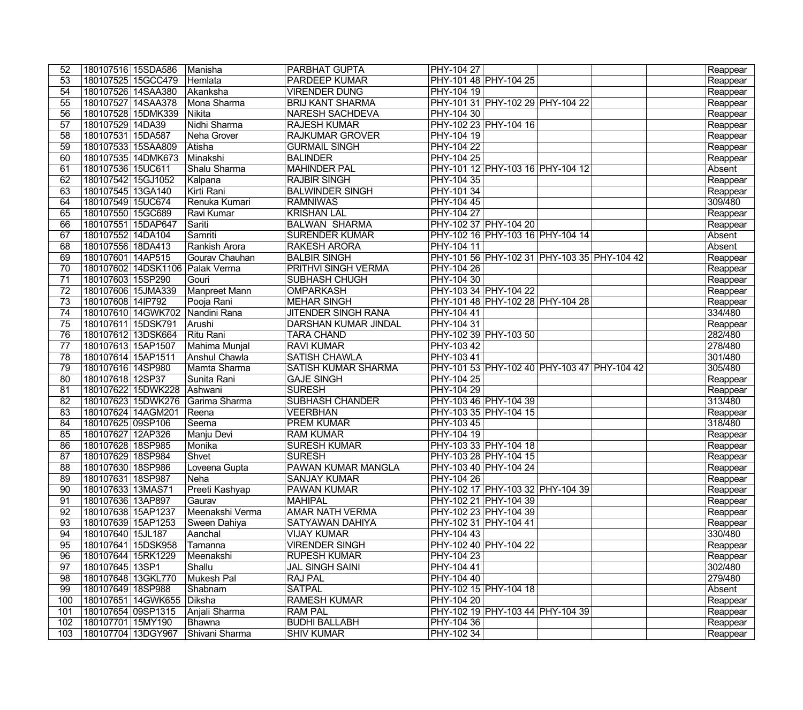| 52              | 180107516 15SDA586  |                    | Manisha                         | <b>PARBHAT GUPTA</b>       | PHY-104 27        |                                             |  | Reappear |
|-----------------|---------------------|--------------------|---------------------------------|----------------------------|-------------------|---------------------------------------------|--|----------|
| 53              | 180107525 15GCC479  |                    | Hemlata                         | <b>PARDEEP KUMAR</b>       |                   | PHY-101 48 PHY-104 25                       |  | Reappear |
| 54              | 180107526 14SAA380  |                    | Akanksha                        | <b>VIRENDER DUNG</b>       | PHY-104 19        |                                             |  | Reappear |
| 55              | 180107527 14SAA378  |                    | Mona Sharma                     | <b>BRIJ KANT SHARMA</b>    |                   | PHY-101 31 PHY-102 29 PHY-104 22            |  | Reappear |
| $\overline{56}$ |                     | 180107528 15DMK339 | Nikita                          | <b>NARESH SACHDEVA</b>     | PHY-104 30        |                                             |  | Reappear |
| $\overline{57}$ | 180107529 14DA39    |                    | Nidhi Sharma                    | <b>RAJESH KUMAR</b>        |                   | PHY-102 23 PHY-104 16                       |  | Reappear |
| $\overline{58}$ | 180107531 15DA587   |                    | Neha Grover                     | <b>RAJKUMAR GROVER</b>     | PHY-104 19        |                                             |  | Reappear |
| 59              | 180107533 15SAA809  |                    | Atisha                          | <b>GURMAIL SINGH</b>       | PHY-104 22        |                                             |  | Reappear |
| 60              |                     | 180107535 14DMK673 | Minakshi                        | <b>BALINDER</b>            | PHY-104 25        |                                             |  | Reappear |
| 61              | 180107536 15UC611   |                    | Shalu Sharma                    | <b>MAHINDER PAL</b>        |                   | PHY-101 12 PHY-103 16 PHY-104 12            |  | Absent   |
| 62              | 180107542 15GJ1052  |                    | Kalpana                         | <b>RAJBIR SINGH</b>        | PHY-104 35        |                                             |  | Reappear |
| 63              | 180107545 13GA140   |                    | Kirti Rani                      | <b>BALWINDER SINGH</b>     | PHY-101 34        |                                             |  | Reappear |
| 64              | 180107549 15UC674   |                    | Renuka Kumari                   | <b>RAMNIWAS</b>            | PHY-104 45        |                                             |  | 309/480  |
| 65              | 180107550 15GC689   |                    | Ravi Kumar                      | <b>KRISHAN LAL</b>         | PHY-104 27        |                                             |  | Reappear |
| 66              | 180107551 15DAP647  |                    | Sariti                          | <b>BALWAN SHARMA</b>       |                   | PHY-102 37 PHY-104 20                       |  | Reappear |
| 67              | 180107552 14DA104   |                    | Samriti                         | <b>SURENDER KUMAR</b>      |                   | PHY-102 16 PHY-103 16 PHY-104 14            |  | Absent   |
| 68              | 180107556 18DA413   |                    | Rankish Arora                   | <b>RAKESH ARORA</b>        | PHY-104 11        |                                             |  | Absent   |
| 69              | 180107601 14AP515   |                    | Gourav Chauhan                  | <b>BALBIR SINGH</b>        |                   | PHY-101 56 PHY-102 31 PHY-103 35 PHY-104 42 |  | Reappear |
| 70              |                     |                    | 180107602 14DSK1106 Palak Verma | <b>PRITHVI SINGH VERMA</b> | PHY-104 26        |                                             |  | Reappear |
| 71              | 180107603 15SP290   |                    | Gouri                           | <b>SUBHASH CHUGH</b>       | PHY-104 30        |                                             |  | Reappear |
| 72              | 180107606 15JMA339  |                    | Manpreet Mann                   | <b>OMPARKASH</b>           |                   | PHY-103 34 PHY-104 22                       |  | Reappear |
| $\overline{73}$ | 180107608 14lP792   |                    | Pooja Rani                      | <b>MEHAR SINGH</b>         |                   | PHY-101 48 PHY-102 28 PHY-104 28            |  | Reappear |
| $\overline{74}$ |                     | 180107610 14GWK702 | Nandini Rana                    | <b>JITENDER SINGH RANA</b> | PHY-104 41        |                                             |  | 334/480  |
| 75              | 180107611 15DSK791  |                    | Arushi                          | DARSHAN KUMAR JINDAL       | PHY-104 31        |                                             |  | Reappear |
| 76              | 180107612 13DSK664  |                    | <b>Ritu Rani</b>                | <b>TARA CHAND</b>          |                   | PHY-102 39 PHY-103 50                       |  | 282/480  |
| $\overline{77}$ | 180107613 15AP1507  |                    | Mahima Munjal                   | <b>RAVI KUMAR</b>          | PHY-103 42        |                                             |  | 278/480  |
| 78              | 180107614 15AP1511  |                    | Anshul Chawla                   | <b>SATISH CHAWLA</b>       | PHY-103 41        |                                             |  | 301/480  |
| 79              | 180107616 14SP980   |                    | Mamta Sharma                    | <b>SATISH KUMAR SHARMA</b> |                   | PHY-101 53 PHY-102 40 PHY-103 47 PHY-104 42 |  | 305/480  |
| $\overline{80}$ | 180107618 12SP37    |                    | Sunita Rani                     | <b>GAJE SINGH</b>          | <b>PHY-104 25</b> |                                             |  | Reappear |
| 81              |                     | 180107622 15DWK228 | Ashwani                         | <b>SURESH</b>              | <b>PHY-104 29</b> |                                             |  | Reappear |
| $\overline{82}$ |                     | 180107623 15DWK276 | Garima Sharma                   | <b>SUBHASH CHANDER</b>     |                   | PHY-103 46 PHY-104 39                       |  | 313/480  |
| $\overline{83}$ | 180107624 14AGM201  |                    | Reena                           | <b>VEERBHAN</b>            |                   | PHY-103 35 PHY-104 15                       |  | Reappear |
| 84              | 180107625 09SP106   |                    | Seema                           | <b>PREM KUMAR</b>          | PHY-103 45        |                                             |  | 318/480  |
| 85              | 180107627 12AP326   |                    | Manju Devi                      | <b>RAM KUMAR</b>           | PHY-104 19        |                                             |  | Reappear |
| 86              | 180107628 18SP985   |                    | Monika                          | <b>SURESH KUMAR</b>        |                   | PHY-103 33 PHY-104 18                       |  | Reappear |
| 87              | 180107629 18SP984   |                    | Shvet                           | <b>SURESH</b>              |                   | PHY-103 28 PHY-104 15                       |  | Reappear |
| $\overline{88}$ | 180107630 18SP986   |                    | Loveena Gupta                   | <b>PAWAN KUMAR MANGLA</b>  |                   | PHY-103 40 PHY-104 24                       |  | Reappear |
| 89              | 180107631 18SP987   |                    | Neha                            | <b>SANJAY KUMAR</b>        | PHY-104 26        |                                             |  | Reappear |
| 90              | 180107633 13MAS71   |                    | Preeti Kashyap                  | <b>PAWAN KUMAR</b>         |                   | PHY-102 17 PHY-103 32 PHY-104 39            |  | Reappear |
| 91              | 180107636 13AP897   |                    | Gaurav                          | <b>MAHIPAL</b>             |                   | PHY-102 21 PHY-104 39                       |  | Reappear |
| 92              | 180107638 15AP1237  |                    | Meenakshi Verma                 | <b>AMAR NATH VERMA</b>     |                   | PHY-102 23 PHY-104 39                       |  | Reappear |
| 93              | 180107639 15AP1253  |                    | Sween Dahiya                    | SATYAWAN DAHIYA            |                   | PHY-102 31 PHY-104 41                       |  | Reappear |
| 94              | 180107640   15JL187 |                    | Aanchal                         | <b>VIJAY KUMAR</b>         | PHY-104 43        |                                             |  | 330/480  |
| 95              | 180107641 15DSK958  |                    | Tamanna                         | <b>VIRENDER SINGH</b>      |                   | PHY-102 40 PHY-104 22                       |  | Reappear |
| 96              | 180107644 15RK1229  |                    | Meenakshi                       | <b>RUPESH KUMAR</b>        | PHY-104 23        |                                             |  | Reappear |
| 97              | 180107645 13SP1     |                    | Shallu                          | <b>JAL SINGH SAINI</b>     | PHY-104 41        |                                             |  | 302/480  |
| 98              | 180107648 13GKL770  |                    | Mukesh Pal                      | <b>RAJ PAL</b>             | PHY-104 40        |                                             |  | 279/480  |
| 99              | 180107649 18SP988   |                    | Shabnam                         | <b>SATPAL</b>              |                   | PHY-102 15 PHY-104 18                       |  | Absent   |
| 100             |                     | 180107651 14GWK655 | Diksha                          | <b>RAMESH KUMAR</b>        | PHY-104 20        |                                             |  | Reappear |
| 101             | 180107654 09SP1315  |                    | Anjali Sharma                   | <b>RAM PAL</b>             |                   | PHY-102 19 PHY-103 44 PHY-104 39            |  | Reappear |
| 102             | 180107701 15MY190   |                    | Bhawna                          | <b>BUDHI BALLABH</b>       | PHY-104 36        |                                             |  | Reappear |
| 103             | 180107704 13DGY967  |                    | Shivani Sharma                  | <b>SHIV KUMAR</b>          | PHY-102 34        |                                             |  | Reappear |
|                 |                     |                    |                                 |                            |                   |                                             |  |          |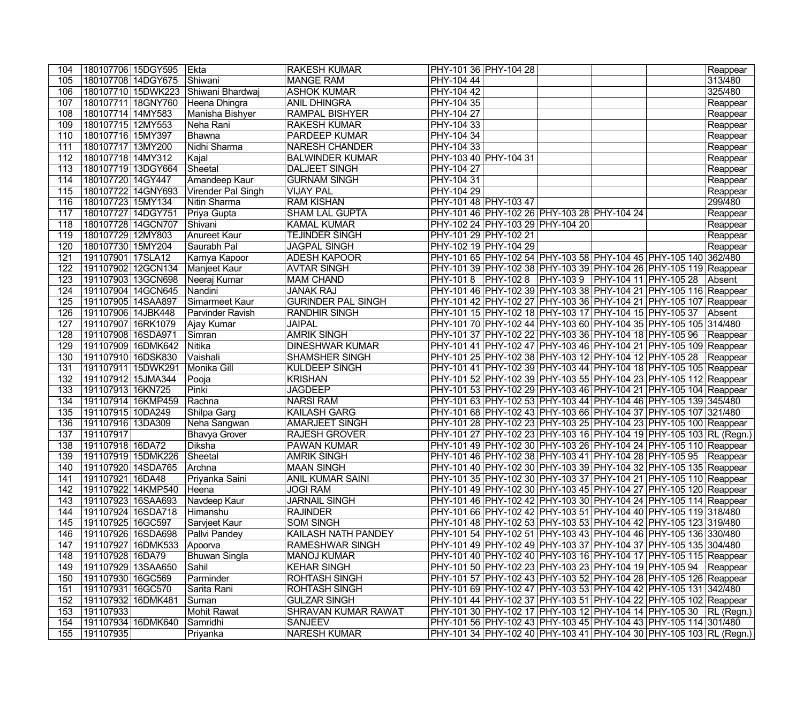| 104              | 180107706 15DGY595  |                    | Ekta                    | <b>RAKESH KUMAR</b>       | PHY-101 36 PHY-104 28                                                 |  | Reappear |
|------------------|---------------------|--------------------|-------------------------|---------------------------|-----------------------------------------------------------------------|--|----------|
| 105              | 180107708 14DGY675  |                    | Shiwani                 | <b>MANGE RAM</b>          | PHY-104 44                                                            |  | 313/480  |
| 106              |                     | 180107710 15DWK223 | Shiwani Bhardwaj        | <b>ASHOK KUMAR</b>        | PHY-104 42                                                            |  | 325/480  |
| 107              |                     | 180107711 18GNY760 | Heena Dhingra           | <b>ANIL DHINGRA</b>       | PHY-104 35                                                            |  | Reappear |
| 108              | 180107714 14MY583   |                    | Manisha Bishyer         | <b>RAMPAL BISHYER</b>     | <b>PHY-104 27</b>                                                     |  | Reappear |
| 109              | 180107715 12MY553   |                    | Neha Rani               | <b>RAKESH KUMAR</b>       | PHY-104 33                                                            |  | Reappear |
| 110              | 180107716 15MY397   |                    | Bhawna                  | PARDEEP KUMAR             | PHY-104 34                                                            |  | Reappear |
| 111              | 180107717 13MY200   |                    | Nidhi Sharma            | <b>NARESH CHANDER</b>     | PHY-104 33                                                            |  | Reappear |
| 112              | 180107718 14MY312   |                    | Kajal                   | <b>BALWINDER KUMAR</b>    | PHY-103 40 PHY-104 31                                                 |  | Reappear |
| 113              | 180107719 13DGY664  |                    | Sheetal                 | <b>DALJEET SINGH</b>      | PHY-104 27                                                            |  | Reappear |
| 114              | 180107720 14GY447   |                    | Amandeep Kaur           | <b>GURNAM SINGH</b>       | PHY-104 31                                                            |  | Reappear |
| 115              | 180107722 14GNY693  |                    | Virender Pal Singh      | <b>VIJAY PAL</b>          | PHY-104 29                                                            |  | Reappear |
| 116              | 180107723 15MY134   |                    | Nitin Sharma            | <b>RAM KISHAN</b>         | PHY-101 48 PHY-103 47                                                 |  | 299/480  |
| 117              | 180107727 14DGY751  |                    | Priya Gupta             | <b>SHAM LAL GUPTA</b>     | PHY-101 46 PHY-102 26 PHY-103 28 PHY-104 24                           |  | Reappear |
| 118              | 180107728 14GCN707  |                    | Shivani                 | <b>KAMAL KUMAR</b>        | PHY-102 24 PHY-103 29 PHY-104 20                                      |  | Reappear |
| 119              | 180107729 12MY803   |                    | Anureet Kaur            | <b>TEJINDER SINGH</b>     | PHY-101 29 PHY-102 21                                                 |  | Reappear |
| 120              | 180107730 15MY204   |                    | Saurabh Pal             | <b>JAGPAL SINGH</b>       | PHY-102 19 PHY-104 29                                                 |  | Reappear |
| 121              | 191107901 17SLA12   |                    | Kamya Kapoor            | <b>ADESH KAPOOR</b>       | PHY-101 65 PHY-102 54 PHY-103 58 PHY-104 45 PHY-105 140 362/480       |  |          |
| 122              | 191107902 12GCN134  |                    | Manjeet Kaur            | <b>AVTAR SINGH</b>        | PHY-101 39 PHY-102 38 PHY-103 39 PHY-104 26 PHY-105 119 Reappear      |  |          |
| 123              | 191107903 13GCN698  |                    | Neeraj Kumar            | <b>MAM CHAND</b>          | PHY-101 8   PHY-102 8   PHY-103 9   PHY-104 11   PHY-105 28           |  | Absent   |
| 124              | 191107904 14GCN645  |                    | Nandini                 | <b>JANAK RAJ</b>          | PHY-101 46 PHY-102 39 PHY-103 38 PHY-104 21 PHY-105 116 Reappear      |  |          |
| 125              | 191107905 14SAA897  |                    | Simarmeet Kaur          | <b>GURINDER PAL SINGH</b> | PHY-101 42 PHY-102 27 PHY-103 36 PHY-104 21 PHY-105 107 Reappear      |  |          |
| 126              | 191107906 14JBK448  |                    | <b>Parvinder Ravish</b> | <b>RANDHIR SINGH</b>      | PHY-101 15 PHY-102 18 PHY-103 17 PHY-104 15 PHY-105 37                |  | Absent   |
| 127              | 191107907 16RK1079  |                    | Ajay Kumar              | <b>JAIPAL</b>             | PHY-101 70 PHY-102 44 PHY-103 60 PHY-104 35 PHY-105 105 314/480       |  |          |
| 128              | 191107908 16SDA971  |                    | Simran                  | <b>AMRIK SINGH</b>        | PHY-101 37   PHY-102 22   PHY-103 36   PHY-104 18   PHY-105 96        |  | Reappear |
| 129              | 191107909 16DMK642  |                    | <b>Nitika</b>           | <b>DINESHWAR KUMAR</b>    | PHY-101 41 PHY-102 47 PHY-103 46 PHY-104 21 PHY-105 109 Reappear      |  |          |
| 130              | 191107910 16DSK830  |                    | Vaishali                | <b>SHAMSHER SINGH</b>     | PHY-101 25 PHY-102 38 PHY-103 12 PHY-104 12 PHY-105 28                |  | Reappear |
| 131              | 191107911 15DWK291  |                    | Monika Gill             | <b>KULDEEP SINGH</b>      | PHY-101 41 PHY-102 39 PHY-103 44 PHY-104 18 PHY-105 105 Reappear      |  |          |
| 132              | 191107912 15JMA344  |                    | Pooja                   | <b>KRISHAN</b>            | PHY-101 52 PHY-102 39 PHY-103 55 PHY-104 23 PHY-105 112 Reappear      |  |          |
| 133              | 191107913 16KN725   |                    | Pinki                   | <b>JAGDEEP</b>            | PHY-101 53 PHY-102 29 PHY-103 46 PHY-104 21 PHY-105 104 Reappear      |  |          |
| $\overline{134}$ |                     | 191107914 16KMP459 | Rachna                  | <b>NARSI RAM</b>          | PHY-101 63 PHY-102 53 PHY-103 44 PHY-104 46 PHY-105 139 345/480       |  |          |
| $\overline{135}$ | 191107915 10DA249   |                    | Shilpa Garg             | <b>KAILASH GARG</b>       | PHY-101 68 PHY-102 43 PHY-103 66 PHY-104 37 PHY-105 107 321/480       |  |          |
| 136              | 191107916 13DA309   |                    | Neha Sangwan            | AMARJEET SINGH            | PHY-101 28 PHY-102 23 PHY-103 25 PHY-104 23 PHY-105 100 Reappear      |  |          |
| 137              | 191107917           |                    | <b>Bhavya Grover</b>    | <b>RAJESH GROVER</b>      | PHY-101 27 PHY-102 23 PHY-103 16 PHY-104 19 PHY-105 103 RL (Regn.)    |  |          |
| 138              | 191107918 16DA72    |                    | Diksha                  | <b>PAWAN KUMAR</b>        | PHY-101 49 PHY-102 30 PHY-103 26 PHY-104 24 PHY-105 110 Reappear      |  |          |
| 139              |                     | 191107919 15DMK226 | Sheetal                 | <b>AMRIK SINGH</b>        | PHY-101 46 PHY-102 38 PHY-103 41 PHY-104 28 PHY-105 95 Reappear       |  |          |
| 140              |                     | 191107920 14SDA765 | Archna                  | <b>MAAN SINGH</b>         | PHY-101 40 PHY-102 30 PHY-103 39 PHY-104 32 PHY-105 135 Reappear      |  |          |
| 141              | 191107921 16DA48    |                    | Priyanka Saini          | <b>ANIL KUMAR SAINI</b>   | PHY-101 35 PHY-102 30 PHY-103 37 PHY-104 21 PHY-105 110 Reappear      |  |          |
| 142              |                     | 191107922 14KMP540 | Heena                   | <b>JOGI RAM</b>           | PHY-101 49  PHY-102 30  PHY-103 45  PHY-104 27  PHY-105 120  Reappear |  |          |
| 143              | 191107923 16SAA693  |                    | Navdeep Kaur            | <b>JARNAIL SINGH</b>      | PHY-101 46  PHY-102 42  PHY-103 30  PHY-104 24  PHY-105 114  Reappear |  |          |
| 144              | 191107924 16SDA718  |                    | Himanshu                | <b>RAJINDER</b>           | PHY-101 66 PHY-102 42 PHY-103 51 PHY-104 40 PHY-105 119 318/480       |  |          |
| 145              | 191107925 16GC597   |                    | Sarvjeet Kaur           | <b>SOM SINGH</b>          | PHY-101 48 PHY-102 53 PHY-103 53 PHY-104 42 PHY-105 123 319/480       |  |          |
| 146              | 191107926 16SDA698  |                    | Pallvi Pandey           | KAILASH NATH PANDEY       | PHY-101 54 PHY-102 51 PHY-103 43 PHY-104 46 PHY-105 136 330/480       |  |          |
| 147              |                     | 191107927 16DMK533 | Apoorva                 | <b>RAMESHWAR SINGH</b>    | PHY-101 49 PHY-102 49 PHY-103 37 PHY-104 37 PHY-105 135 304/480       |  |          |
| 148              | 191107928 16DA79    |                    | <b>Bhuwan Singla</b>    | <b>MANOJ KUMAR</b>        | PHY-101 40 PHY-102 40 PHY-103 16 PHY-104 17 PHY-105 115 Reappear      |  |          |
| 149              | 191107929 13SAA650  |                    | Sahil                   | <b>KEHAR SINGH</b>        | PHY-101 50  PHY-102 23  PHY-103 23  PHY-104 19  PHY-105 94            |  | Reappear |
| 150              | 191107930   16GC569 |                    | Parminder               | ROHTASH SINGH             | PHY-101 57  PHY-102 43  PHY-103 52  PHY-104 28  PHY-105 126  Reappear |  |          |
| 151              | 191107931 16GC570   |                    | Sarita Rani             | <b>ROHTASH SINGH</b>      | PHY-101 69 PHY-102 47 PHY-103 53 PHY-104 42 PHY-105 131 342/480       |  |          |
| 152              | 191107932 16DMK481  |                    | Suman                   | <b>GULZAR SINGH</b>       | PHY-101 44 PHY-102 37 PHY-103 51 PHY-104 22 PHY-105 102 Reappear      |  |          |
| 153              | 191107933           |                    | Mohit Rawat             | SHRAVAN KUMAR RAWAT       | PHY-101 30 PHY-102 17 PHY-103 12 PHY-104 14 PHY-105 30 RL (Regn.)     |  |          |
| 154              |                     | 191107934 16DMK640 | Samridhi                | <b>SANJEEV</b>            | PHY-101 56 PHY-102 43 PHY-103 45 PHY-104 43 PHY-105 114 301/480       |  |          |
| 155              | 191107935           |                    | Priyanka                | <b>NARESH KUMAR</b>       | PHY-101 34 PHY-102 40 PHY-103 41 PHY-104 30 PHY-105 103 RL (Regn.)    |  |          |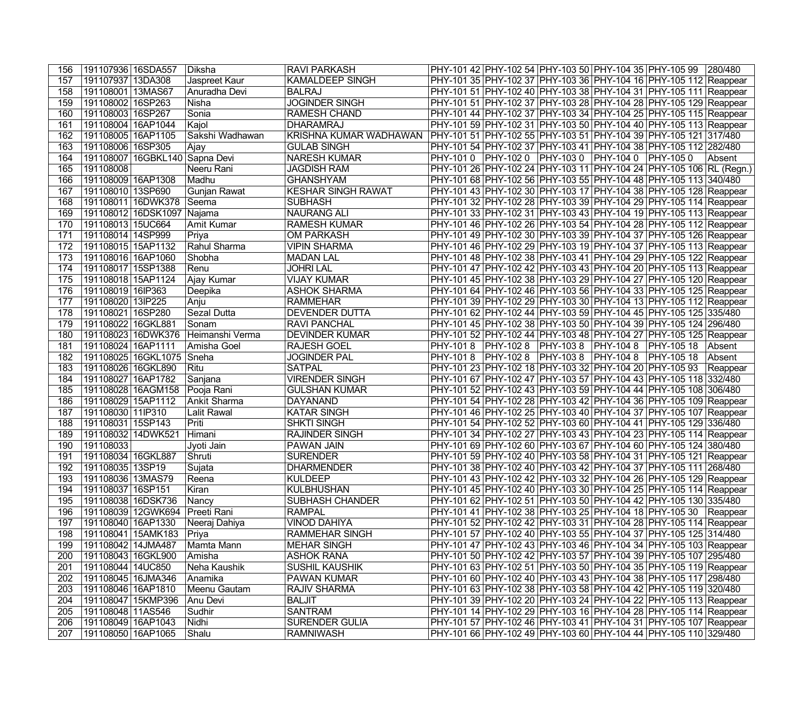| 156 | 191107936 16SDA557 |                                | Diksha          | <b>RAVI PARKASH</b>       |                                                            |  | PHY-101 42 PHY-102 54 PHY-103 50 PHY-104 35 PHY-105 99 280/480            |          |
|-----|--------------------|--------------------------------|-----------------|---------------------------|------------------------------------------------------------|--|---------------------------------------------------------------------------|----------|
| 157 | 191107937 13DA308  |                                | Jaspreet Kaur   | <b>KAMALDEEP SINGH</b>    |                                                            |  | PHY-101 35 PHY-102 37 PHY-103 36 PHY-104 16 PHY-105 112 Reappear          |          |
| 158 | 191108001 13MAS67  |                                | Anuradha Devi   | <b>BALRAJ</b>             |                                                            |  | PHY-101 51 PHY-102 40 PHY-103 38 PHY-104 31 PHY-105 111 Reappear          |          |
| 159 | 191108002 16SP263  |                                | Nisha           | <b>JOGINDER SINGH</b>     |                                                            |  | PHY-101 51 PHY-102 37 PHY-103 28 PHY-104 28 PHY-105 129 Reappear          |          |
| 160 | 191108003 16SP267  |                                | Sonia           | <b>RAMESH CHAND</b>       |                                                            |  | PHY-101 44 PHY-102 37 PHY-103 34 PHY-104 25 PHY-105 115 Reappear          |          |
| 161 | 191108004 16AP1044 |                                | Kajol           | <b>DHARAMRAJ</b>          |                                                            |  | PHY-101 59 PHY-102 31 PHY-103 50 PHY-104 40 PHY-105 113 Reappear          |          |
| 162 | 191108005 16AP1105 |                                | Sakshi Wadhawan | KRISHNA KUMAR WADHAWAN    |                                                            |  | PHY-101 51 PHY-102 55 PHY-103 51 PHY-104 39 PHY-105 121 317/480           |          |
| 163 | 191108006 16SP305  |                                | Ajay            | <b>GULAB SINGH</b>        |                                                            |  | PHY-101 54  PHY-102 37  PHY-103 41  PHY-104 38  PHY-105 112  282/480      |          |
| 164 |                    | 191108007 16GBKL140 Sapna Devi |                 | <b>NARESH KUMAR</b>       | PHY-101 0 PHY-102 0 PHY-103 0 PHY-104 0 PHY-105 0          |  |                                                                           | Absent   |
| 165 | 191108008          |                                | Neeru Rani      | <b>JAGDISH RAM</b>        |                                                            |  | PHY-101 26 PHY-102 24 PHY-103 11 PHY-104 24 PHY-105 106 RL (Regn.)        |          |
| 166 | 191108009 16AP1308 |                                | Madhu           | <b>GHANSHYAM</b>          |                                                            |  | PHY-101 68 PHY-102 56 PHY-103 55 PHY-104 48 PHY-105 113 340/480           |          |
| 167 | 191108010 13SP690  |                                | Gunjan Rawat    | <b>KESHAR SINGH RAWAT</b> |                                                            |  | PHY-101 43 PHY-102 30 PHY-103 17 PHY-104 38 PHY-105 128 Reappear          |          |
| 168 |                    | 191108011 16DWK378             | Seema           | <b>SUBHASH</b>            |                                                            |  | PHY-101 32 PHY-102 28 PHY-103 39 PHY-104 29 PHY-105 114 Reappear          |          |
| 169 |                    | 191108012 16DSK1097 Najama     |                 | <b>NAURANG ALI</b>        |                                                            |  | PHY-101 33 PHY-102 31 PHY-103 43 PHY-104 19 PHY-105 113 Reappear          |          |
| 170 | 191108013 15UC664  |                                | Amit Kumar      | <b>RAMESH KUMAR</b>       |                                                            |  | PHY-101 46 PHY-102 26 PHY-103 54 PHY-104 28 PHY-105 112 Reappear          |          |
| 171 | 191108014 14SP999  |                                | Priya           | <b>OM PARKASH</b>         |                                                            |  | PHY-101 49 PHY-102 30 PHY-103 39 PHY-104 37 PHY-105 126 Reappear          |          |
| 172 | 191108015 15AP1132 |                                | Rahul Sharma    | <b>VIPIN SHARMA</b>       |                                                            |  | PHY-101 46 PHY-102 29 PHY-103 19 PHY-104 37 PHY-105 113 Reappear          |          |
| 173 | 191108016 16AP1060 |                                | Shobha          | <b>MADAN LAL</b>          |                                                            |  | PHY-101 48 PHY-102 38 PHY-103 41 PHY-104 29 PHY-105 122 Reappear          |          |
| 174 | 191108017 15SP1388 |                                | Renu            | <b>JOHRI LAL</b>          |                                                            |  | PHY-101 47 PHY-102 42 PHY-103 43 PHY-104 20 PHY-105 113 Reappear          |          |
| 175 | 191108018 15AP1124 |                                | Ajay Kumar      | <b>VIJAY KUMAR</b>        |                                                            |  | PHY-101 45 PHY-102 38 PHY-103 29 PHY-104 27 PHY-105 120 Reappear          |          |
| 176 | 191108019 16IP363  |                                | Deepika         | <b>ASHOK SHARMA</b>       |                                                            |  | PHY-101 64 PHY-102 46 PHY-103 56 PHY-104 33 PHY-105 125 Reappear          |          |
| 177 | 191108020 13IP225  |                                | Anju            | <b>RAMMEHAR</b>           |                                                            |  | PHY-101 39 PHY-102 29 PHY-103 30 PHY-104 13 PHY-105 112 Reappear          |          |
| 178 | 191108021 16SP280  |                                | Sezal Dutta     | DEVENDER DUTTA            |                                                            |  | PHY-101 62 PHY-102 44 PHY-103 59 PHY-104 45 PHY-105 125 335/480           |          |
| 179 | 191108022 16GKL881 |                                | Sonam           | <b>RAVI PANCHAL</b>       |                                                            |  | PHY-101 45 PHY-102 38 PHY-103 50 PHY-104 39 PHY-105 124 296/480           |          |
| 180 |                    | 191108023 16DWK376             | Heimanshi Verma | <b>DEVINDER KUMAR</b>     |                                                            |  | PHY-101 52 PHY-102 44 PHY-103 48 PHY-104 27 PHY-105 125 Reappear          |          |
| 181 | 191108024 16AP1111 |                                | Amisha Goel     | <b>RAJESH GOEL</b>        | PHY-101 8  PHY-102 8  PHY-103 8  PHY-104 8  PHY-105 18     |  |                                                                           | Absent   |
| 182 |                    | 191108025 16GKL1075            | Sneha           | <b>JOGINDER PAL</b>       | PHY-101 8   PHY-102 8   PHY-103 8   PHY-104 8   PHY-105 18 |  |                                                                           | Absent   |
| 183 | 191108026 16GKL890 |                                | Ritu            | <b>SATPAL</b>             | PHY-101 23 PHY-102 18 PHY-103 32 PHY-104 20 PHY-105 93     |  |                                                                           | Reappear |
| 184 | 191108027 16AP1782 |                                | Sanjana         | <b>VIRENDER SINGH</b>     |                                                            |  | PHY-101 67 PHY-102 47 PHY-103 57 PHY-104 43 PHY-105 118 332/480           |          |
| 185 |                    | 191108028 16AGM158             | Pooja Rani      | <b>GULSHAN KUMAR</b>      |                                                            |  | PHY-101 52 PHY-102 43 PHY-103 59 PHY-104 44 PHY-105 108 306/480           |          |
| 186 | 191108029 15AP1112 |                                | Ankit Sharma    | <b>DAYANAND</b>           |                                                            |  | PHY-101 54 PHY-102 28 PHY-103 42 PHY-104 36 PHY-105 109 Reappear          |          |
| 187 | 191108030 11P310   |                                | Lalit Rawal     | <b>KATAR SINGH</b>        |                                                            |  | PHY-101 46 PHY-102 25 PHY-103 40 PHY-104 37 PHY-105 107 Reappear          |          |
| 188 | 191108031 15SP143  |                                | Priti           | <b>SHKTI SINGH</b>        |                                                            |  | PHY-101 54 PHY-102 52 PHY-103 60 PHY-104 41 PHY-105 129 336/480           |          |
| 189 | 191108032 14DWK521 |                                | Himani          | <b>RAJINDER SINGH</b>     |                                                            |  | PHY-101 34 PHY-102 27 PHY-103 43 PHY-104 23 PHY-105 114 Reappear          |          |
| 190 | 191108033          |                                | Jyoti Jain      | PAWAN JAIN                |                                                            |  | PHY-101 69 PHY-102 60 PHY-103 67 PHY-104 60 PHY-105 124 380/480           |          |
| 191 | 191108034 16GKL887 |                                | Shruti          | <b>SURENDER</b>           |                                                            |  | PHY-101 59 PHY-102 40 PHY-103 58 PHY-104 31 PHY-105 121 Reappear          |          |
| 192 | 191108035 13SP19   |                                | Sujata          | <b>DHARMENDER</b>         |                                                            |  | PHY-101 38 PHY-102 40 PHY-103 42 PHY-104 37 PHY-105 111 268/480           |          |
| 193 | 191108036 13MAS79  |                                | Reena           | <b>KULDEEP</b>            |                                                            |  | PHY-101 43 PHY-102 42 PHY-103 32 PHY-104 26 PHY-105 129 Reappear          |          |
| 194 | 191108037 16SP151  |                                | Kiran           | <b>KULBHUSHAN</b>         |                                                            |  | PHY-101 45  PHY-102 40  PHY-103 30  PHY-104 25  PHY-105 114  Reappear     |          |
| 195 | 191108038 16DSK736 |                                | Nancy           | <b>SUBHASH CHANDER</b>    |                                                            |  | PHY-101 62 PHY-102 51 PHY-103 50 PHY-104 42 PHY-105 130 335/480           |          |
| 196 |                    | 191108039 12GWK694             | Preeti Rani     | <b>RAMPAL</b>             |                                                            |  | PHY-101 41   PHY-102 38   PHY-103 25   PHY-104 18   PHY-105 30   Reappear |          |
| 197 | 191108040 16AP1330 |                                | Neeraj Dahiya   | <b>VINOD DAHIYA</b>       |                                                            |  | PHY-101 52 PHY-102 42 PHY-103 31 PHY-104 28 PHY-105 114 Reappear          |          |
| 198 |                    | 191108041 15AMK183             | Priya           | <b>RAMMEHAR SINGH</b>     |                                                            |  | PHY-101 57 PHY-102 40 PHY-103 55 PHY-104 37 PHY-105 125 314/480           |          |
| 199 | 191108042 14JMA487 |                                | Mamta Mann      | <b>MEHAR SINGH</b>        |                                                            |  | PHY-101 47 PHY-102 43 PHY-103 46 PHY-104 34 PHY-105 103 Reappear          |          |
| 200 | 191108043 16GKL900 |                                | Amisha          | <b>ASHOK RANA</b>         |                                                            |  | PHY-101 50 PHY-102 42 PHY-103 57 PHY-104 39 PHY-105 107 295/480           |          |
| 201 | 191108044 14UC850  |                                | Neha Kaushik    | <b>SUSHIL KAUSHIK</b>     |                                                            |  | PHY-101 63 PHY-102 51 PHY-103 50 PHY-104 35 PHY-105 119 Reappear          |          |
| 202 | 191108045 16JMA346 |                                | Anamika         | PAWAN KUMAR               |                                                            |  | PHY-101 60 PHY-102 40 PHY-103 43 PHY-104 38 PHY-105 117 298/480           |          |
| 203 | 191108046 16AP1810 |                                | Meenu Gautam    | <b>RAJIV SHARMA</b>       |                                                            |  | PHY-101 63 PHY-102 38 PHY-103 58 PHY-104 42 PHY-105 119 320/480           |          |
| 204 |                    | 191108047 15KMP396             | Anu Devi        | <b>BALJIT</b>             |                                                            |  | PHY-101 39 PHY-102 20 PHY-103 24 PHY-104 22 PHY-105 113 Reappear          |          |
| 205 | 191108048 11AS546  |                                | Sudhir          | <b>SANTRAM</b>            |                                                            |  | PHY-101 14 PHY-102 29 PHY-103 16 PHY-104 28 PHY-105 114 Reappear          |          |
| 206 | 191108049 16AP1043 |                                | Nidhi           | <b>SURENDER GULIA</b>     |                                                            |  | PHY-101 57 PHY-102 46 PHY-103 41 PHY-104 31 PHY-105 107 Reappear          |          |
| 207 | 191108050 16AP1065 |                                | Shalu           | <b>RAMNIWASH</b>          |                                                            |  | PHY-101 66 PHY-102 49 PHY-103 60 PHY-104 44 PHY-105 110 329/480           |          |